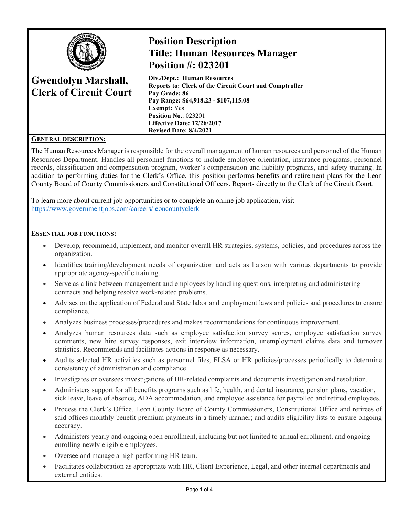|                                                             | <b>Position Description</b><br><b>Title: Human Resources Manager</b><br><b>Position #: 023201</b>                                                                                                                                                                          |
|-------------------------------------------------------------|----------------------------------------------------------------------------------------------------------------------------------------------------------------------------------------------------------------------------------------------------------------------------|
| <b>Gwendolyn Marshall,</b><br><b>Clerk of Circuit Court</b> | Div./Dept.: Human Resources<br>Reports to: Clerk of the Circuit Court and Comptroller<br>Pay Grade: 86<br>Pay Range: \$64,918.23 - \$107,115.08<br><b>Exempt:</b> Yes<br><b>Position No.: 023201</b><br><b>Effective Date: 12/26/2017</b><br><b>Revised Date: 8/4/2021</b> |
| $C$ <i>ened at Decondenon.</i>                              |                                                                                                                                                                                                                                                                            |

### **GENERAL DESCRIPTION:**

The Human Resources Manager is responsible for the overall management of human resources and personnel of the Human Resources Department. Handles all personnel functions to include employee orientation, insurance programs, personnel records, classification and compensation program, worker's compensation and liability programs, and safety training. In addition to performing duties for the Clerk's Office, this position performs benefits and retirement plans for the Leon County Board of County Commissioners and Constitutional Officers. Reports directly to the Clerk of the Circuit Court.

To learn more about current job opportunities or to complete an online job application, visit <https://www.governmentjobs.com/careers/leoncountyclerk>

### **ESSENTIAL JOB FUNCTIONS:**

- Develop, recommend, implement, and monitor overall HR strategies, systems, policies, and procedures across the organization.
- Identifies training/development needs of organization and acts as liaison with various departments to provide appropriate agency-specific training.
- Serve as a link between management and employees by handling questions, interpreting and administering contracts and helping resolve work-related problems.
- Advises on the application of Federal and State labor and employment laws and policies and procedures to ensure compliance.
- Analyzes business processes/procedures and makes recommendations for continuous improvement.
- Analyzes human resources data such as employee satisfaction survey scores, employee satisfaction survey comments, new hire survey responses, exit interview information, unemployment claims data and turnover statistics. Recommends and facilitates actions in response as necessary.
- Audits selected HR activities such as personnel files, FLSA or HR policies/processes periodically to determine consistency of administration and compliance.
- Investigates or oversees investigations of HR-related complaints and documents investigation and resolution.
- Administers support for all benefits programs such as life, health, and dental insurance, pension plans, vacation, sick leave, leave of absence, ADA accommodation, and employee assistance for payrolled and retired employees.
- Process the Clerk's Office, Leon County Board of County Commissioners, Constitutional Office and retirees of said offices monthly benefit premium payments in a timely manner; and audits eligibility lists to ensure ongoing accuracy.
- Administers yearly and ongoing open enrollment, including but not limited to annual enrollment, and ongoing enrolling newly eligible employees.
- Oversee and manage a high performing HR team.
- Facilitates collaboration as appropriate with HR, Client Experience, Legal, and other internal departments and external entities.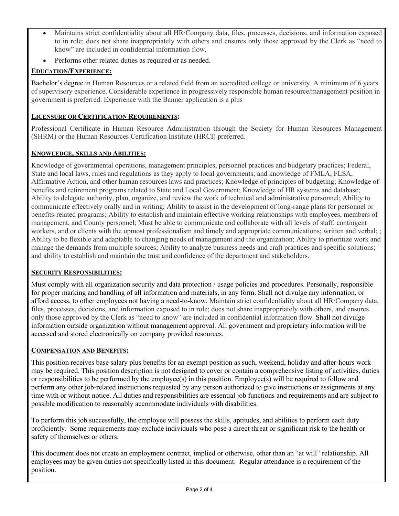- Maintains strict confidentiality about all HR/Company data, files, processes, decisions, and information exposed to in role; does not share inappropriately with others and ensures only those approved by the Clerk as "need to know" are included in confidential information flow.
- Performs other related duties as required or as needed.

# **EDUCATION/EXPERIENCE:**

Bachelor's degree in Human Resources or a related field from an accredited college or university. A minimum of 6 years of supervisory experience. Considerable experience in progressively responsible human resource/management position in government is preferred. Experience with the Banner application is a plus

# **LICENSURE OR CERTIFICATION REQUIREMENTS:**

Professional Certificate in Human Resource Administration through the Society for Human Resources Management (SHRM) or the Human Resources Certification Institute (HRCI) preferred.

# **KNOWLEDGE, SKILLS AND ABILITIES:**

Knowledge of governmental operations, management principles, personnel practices and budgetary practices; Federal, State and local laws, rules and regulations as they apply to local governments; and knowledge of FMLA, FLSA, Affirmative Action, and other human resources laws and practices; Knowledge of principles of budgeting; Knowledge of benefits and retirement programs related to State and Local Government; Knowledge of HR systems and database; Ability to delegate authority, plan, organize, and review the work of technical and administrative personnel; Ability to communicate effectively orally and in writing; Ability to assist in the development of long-range plans for personnel or benefits-related programs; Ability to establish and maintain effective working relationships with employees, members of management, and County personnel; Must be able to communicate and collaborate with all levels of staff, contingent workers, and or clients with the upmost professionalism and timely and appropriate communications; written and verbal; ; Ability to be flexible and adaptable to changing needs of management and the organization; Ability to prioritize work and manage the demands from multiple sources; Ability to analyze business needs and craft practices and specific solutions; and ability to establish and maintain the trust and confidence of the department and stakeholders.

# **SECURITY RESPONSIBILITIES:**

Must comply with all organization security and data protection / usage policies and procedures. Personally, responsible for proper marking and handling of all information and materials, in any form. Shall not divulge any information, or afford access, to other employees not having a need-to-know. Maintain strict confidentiality about all HR/Company data, files, processes, decisions, and information exposed to in role; does not share inappropriately with others, and ensures only those approved by the Clerk as "need to know" are included in confidential information flow. Shall not divulge information outside organization without management approval. All government and proprietary information will be accessed and stored electronically on company provided resources.

# **COMPENSATION AND BENEFITS:**

This position receives base salary plus benefits for an exempt position as such, weekend, holiday and after-hours work may be required. This position description is not designed to cover or contain a comprehensive listing of activities, duties or responsibilities to be performed by the employee(s) in this position. Employee(s) will be required to follow and perform any other job-related instructions requested by any person authorized to give instructions or assignments at any time with or without notice. All duties and responsibilities are essential job functions and requirements and are subject to possible modification to reasonably accommodate individuals with disabilities.

To perform this job successfully, the employee will possess the skills, aptitudes, and abilities to perform each duty proficiently. Some requirements may exclude individuals who pose a direct threat or significant risk to the health or safety of themselves or others.

This document does not create an employment contract, implied or otherwise, other than an "at will" relationship. All employees may be given duties not specifically listed in this document. Regular attendance is a requirement of the position.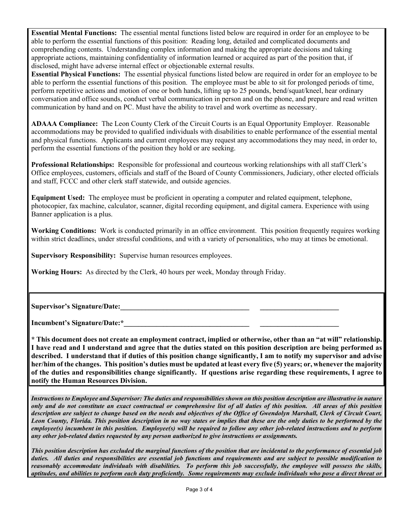**Essential Mental Functions:** The essential mental functions listed below are required in order for an employee to be able to perform the essential functions of this position: Reading long, detailed and complicated documents and comprehending contents. Understanding complex information and making the appropriate decisions and taking appropriate actions, maintaining confidentiality of information learned or acquired as part of the position that, if disclosed, might have adverse internal effect or objectionable external results.

**Essential Physical Functions:** The essential physical functions listed below are required in order for an employee to be able to perform the essential functions of this position. The employee must be able to sit for prolonged periods of time, perform repetitive actions and motion of one or both hands, lifting up to 25 pounds, bend/squat/kneel, hear ordinary conversation and office sounds, conduct verbal communication in person and on the phone, and prepare and read written communication by hand and on PC. Must have the ability to travel and work overtime as necessary.

**ADAAA Compliance:** The Leon County Clerk of the Circuit Courts is an Equal Opportunity Employer. Reasonable accommodations may be provided to qualified individuals with disabilities to enable performance of the essential mental and physical functions. Applicants and current employees may request any accommodations they may need, in order to, perform the essential functions of the position they hold or are seeking.

**Professional Relationships:** Responsible for professional and courteous working relationships with all staff Clerk's Office employees, customers, officials and staff of the Board of County Commissioners, Judiciary, other elected officials and staff, FCCC and other clerk staff statewide, and outside agencies.

**Equipment Used:** The employee must be proficient in operating a computer and related equipment, telephone, photocopier, fax machine, calculator, scanner, digital recording equipment, and digital camera. Experience with using Banner application is a plus.

**Working Conditions:** Work is conducted primarily in an office environment. This position frequently requires working within strict deadlines, under stressful conditions, and with a variety of personalities, who may at times be emotional.

**Supervisory Responsibility:** Supervise human resources employees.

**Working Hours:** As directed by the Clerk, 40 hours per week, Monday through Friday.

Supervisor's Signature/Date:

Incumbent's Signature/Date:\*

**\* This document does not create an employment contract, implied or otherwise, other than an "at will" relationship. I have read and I understand and agree that the duties stated on this position description are being performed as described. I understand that if duties of this position change significantly, I am to notify my supervisor and advise her/him of the changes. This position's duties must be updated at least every five (5) years; or, whenever the majority of the duties and responsibilities change significantly. If questions arise regarding these requirements, I agree to notify the Human Resources Division.**

*Instructions to Employee and Supervisor: The duties and responsibilities shown on this position description are illustrative in nature only and do not constitute an exact contractual or comprehensive list of all duties of this position. All areas of this position description are subject to change based on the needs and objectives of the Office of Gwendolyn Marshall, Clerk of Circuit Court, Leon County, Florida. This position description in no way states or implies that these are the only duties to be performed by the employee(s) incumbent in this position. Employee(s) will be required to follow any other job-related instructions and to perform any other job-related duties requested by any person authorized to give instructions or assignments.*

*This position description has excluded the marginal functions of the position that are incidental to the performance of essential job duties. All duties and responsibilities are essential job functions and requirements and are subject to possible modification to reasonably accommodate individuals with disabilities. To perform this job successfully, the employee will possess the skills, aptitudes, and abilities to perform each duty proficiently. Some requirements may exclude individuals who pose a direct threat or*